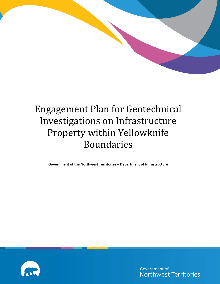

# Engagement Plan for Geotechnical Investigations on Infrastructure Property within Yellowknife Boundaries

**Government of the Northwest Territories – Department of Infrastructure**



Government of **Northwest Territories**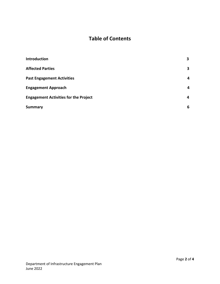# **Table of Contents**

| <b>Introduction</b>                          | 3 |
|----------------------------------------------|---|
| <b>Affected Parties</b>                      | 3 |
| <b>Past Engagement Activities</b>            | 4 |
| <b>Engagement Approach</b>                   | 4 |
| <b>Engagement Activities for the Project</b> | 4 |
| <b>Summary</b>                               | 6 |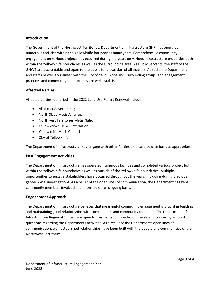#### **Introduction**

The Government of the Northwest Territories, Department of Infrastructure (INF) has operated numerous facilities within the Yellowknife boundaries many years. Comprehensive community engagement on various projects has occurred during the years on various Infrastructure properties both within the Yellowknife boundaries as well as the surrounding area. As Public Servants, the staff of the GNWT are accountable and open to the public for discussion of all matters. As such, the Department and staff are well acquainted with the City of Yellowknife and surrounding groups and engagement practices and community relationships are well established.

#### **Affected Parties**

Affected parties identified in the 2022 Land Use Permit Renewal include:

- Akaitcho Government;
- North Slave Metis Alliance;
- Northwest Territories Metis Nation;
- Yellowknives Dene First Nation
- Yellowknife Métis Council
- City of Yellowknife

The Department of Infrastructure may engage with other Parties on a case by case basis as appropriate.

#### **Past Engagement Activities**

The Department of Infrastructure has operated numerous facilities and completed various project both within the Yellowknife boundaries as well as outside of the Yellowknife boundaries. Multiple opportunities to engage stakeholders have occurred throughout the years, including during previous geotechnical investigations. As a result of the open lines of communication, the Department has kept community members involved and informed on an ongoing basis.

#### **Engagement Approach**

The Department of Infrastructure believes that meaningful community engagement is crucial in building and maintaining good relationships with communities and community members. The Department of Infrastructure Regional Offices' are open for residents to provide comments and concerns, or to ask questions regarding the Departments activities. As a result of the Departments open lines of communication, well-established relationships have been built with the people and communities of the Northwest Territories.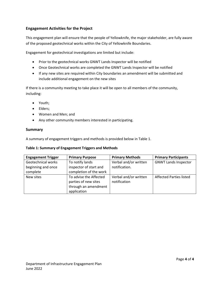#### **Engagement Activities for the Project**

This engagement plan will ensure that the people of Yellowknife, the major stakeholder, are fully aware of the proposed geotechnical works within the City of Yellowknife Boundaries.

Engagement for geotechnical investigations are limited but include:

- Prior to the geotechnical works GNWT Lands Inspector will be notified
- Once Geotechnical works are completed the GNWT Lands Inspector will be notified
- If any new sites are required within City boundaries an amendment will be submitted and include additional engagement on the new sites

If there is a community meeting to take place it will be open to all members of the community, including:

- Youth;
- Elders;
- Women and Men; and
- Any other community members interested in participating.

#### **Summary**

A summary of engagement triggers and methods is provided below in Table 1.

#### **Table 1: Summary of Engagement Triggers and Methods**

| <b>Engagement Trigger</b> | <b>Primary Purpose</b> | <b>Primary Methods</b> | <b>Primary Participants</b>    |
|---------------------------|------------------------|------------------------|--------------------------------|
| Geotechnical works        | To notify lands        | Verbal and/or written  | <b>GNWT Lands Inspector</b>    |
| beginning and once        | inspector of start and | notification.          |                                |
| complete                  | completion of the work |                        |                                |
| New sites                 | To advise the Affected | Verbal and/or written  | <b>Affected Parties listed</b> |
|                           | parties of new sites   | notification           |                                |
|                           | through an amendment   |                        |                                |
|                           | application            |                        |                                |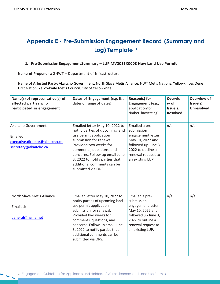# **Appendix E - Pre-Submission Engagement Record (Summary and Log) Template <sup>13</sup>**

#### **1. Pre-SubmissionEngagement Summary – LUP MV2015X0008 New Land Use Permit**

**Name of Proponent:** GNWT – Department of Infrastructure

**Name of Affected Party:** Akaitcho Government, North Slave Metis Alliance, NWT Metis Nations, Yellowknives Dene First Nation, Yellowknife Métis Council, City of Yellowknife

| Name(s) of representative(s) of<br>affected parties who<br>participated in engagement      | Dates of Engagement (e.g. list<br>dates or range of dates)                                                                                                                                                                                                                                           | Reason(s) for<br>Engagement (e.g.,<br>application for<br>timber harvesting)                                                                                 | <b>Overvie</b><br>w of<br>Issue(s)<br><b>Resolved</b> | Overview of<br>Issue(s)<br><b>Unresolved</b> |
|--------------------------------------------------------------------------------------------|------------------------------------------------------------------------------------------------------------------------------------------------------------------------------------------------------------------------------------------------------------------------------------------------------|-------------------------------------------------------------------------------------------------------------------------------------------------------------|-------------------------------------------------------|----------------------------------------------|
| Akaitcho Government<br>Emailed:<br>executive.director@akaitcho.ca<br>secretary@akaitcho.ca | Emailed letter May 10, 2022 to<br>notify parties of upcoming land<br>use permit application<br>submission for renewal.<br>Provided two weeks for<br>comments, questions, and<br>concerns. Follow up email June<br>3, 2022 to notify parties that<br>additional comments can be<br>submitted via ORS. | Emailed a pre-<br>submission<br>engagement letter<br>May 10, 2022 and<br>followed up June 3,<br>2022 to outline a<br>renewal request to<br>an existing LUP. | n/a                                                   | n/a                                          |
| North Slave Metis Alliance<br>Emailed:<br>general@nsma.net                                 | Emailed letter May 10, 2022 to<br>notify parties of upcoming land<br>use permit application<br>submission for renewal.<br>Provided two weeks for<br>comments, questions, and<br>concerns. Follow up email June<br>3, 2022 to notify parties that<br>additional comments can be<br>submitted via ORS. | Emailed a pre-<br>submission<br>engagement letter<br>May 10, 2022 and<br>followed up June 3,<br>2022 to outline a<br>renewal request to<br>an existing LUP. | n/a                                                   | n/a                                          |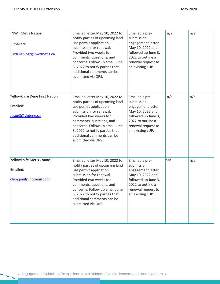| <b>NWT Metis Nation</b><br>Emailed:<br>Ursula. Vogt@nwtmetis.ca | Emailed letter May 10, 2022 to<br>notify parties of upcoming land<br>use permit application<br>submission for renewal.<br>Provided two weeks for<br>comments, questions, and<br>concerns. Follow up email June<br>3, 2022 to notify parties that<br>additional comments can be<br>submitted via ORS. | Emailed a pre-<br>submission<br>engagement letter<br>May 10, 2022 and<br>followed up June 3,<br>2022 to outline a<br>renewal request to<br>an existing LUP. | n/a | n/a |
|-----------------------------------------------------------------|------------------------------------------------------------------------------------------------------------------------------------------------------------------------------------------------------------------------------------------------------------------------------------------------------|-------------------------------------------------------------------------------------------------------------------------------------------------------------|-----|-----|
| Yellowknife Dene First Nation<br>Emailed:<br>JasonS@ykdene.ca   | Emailed letter May 10, 2022 to<br>notify parties of upcoming land<br>use permit application<br>submission for renewal.<br>Provided two weeks for<br>comments, questions, and<br>concerns. Follow up email June<br>3, 2022 to notify parties that<br>additional comments can be<br>submitted via ORS. | Emailed a pre-<br>submission<br>engagement letter<br>May 10, 2022 and<br>followed up June 3,<br>2022 to outline a<br>renewal request to<br>an existing LUP. | n/a | n/a |
| Yellowknife Metis Council<br>Emailed:<br>clem.paul@hotmail.com  | Emailed letter May 10, 2022 to<br>notify parties of upcoming land<br>use permit application<br>submission for renewal.<br>Provided two weeks for<br>comments, questions, and<br>concerns. Follow up email June<br>3, 2022 to notify parties that<br>additional comments can be<br>submitted via ORS. | Emailed a pre-<br>submission<br>engagement letter<br>May 10, 2022 and<br>followed up June 3,<br>2022 to outline a<br>renewal request to<br>an existing LUP. | n/a | n/a |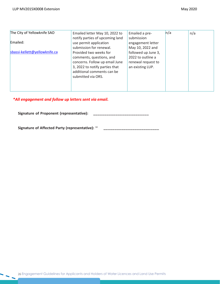| The City of Yellowknife SAO   | Emailed letter May 10, 2022 to  | Emailed a pre-      | n/a | n/a |
|-------------------------------|---------------------------------|---------------------|-----|-----|
|                               | notify parties of upcoming land | submission          |     |     |
| Emailed:                      | use permit application          | engagement letter   |     |     |
|                               | submission for renewal.         | May 10, 2022 and    |     |     |
| sbassi-kellett@yellowknife.ca | Provided two weeks for          | followed up June 3, |     |     |
|                               | comments, questions, and        | 2022 to outline a   |     |     |
|                               | concerns. Follow up email June  | renewal request to  |     |     |
|                               | 3, 2022 to notify parties that  | an existing LUP.    |     |     |
|                               | additional comments can be      |                     |     |     |
|                               | submitted via ORS.              |                     |     |     |
|                               |                                 |                     |     |     |
|                               |                                 |                     |     |     |

# *\*All engagement and follow up letters sent via email.*

**Signature of Proponent (representative): \_\_\_\_\_\_\_\_\_\_\_\_\_\_\_\_\_\_\_\_\_\_\_\_\_**

**Signature of Affected Party (representative):** <sup>14</sup> **\_\_\_\_\_\_\_\_\_\_\_\_\_\_\_\_\_\_\_\_\_\_\_\_\_**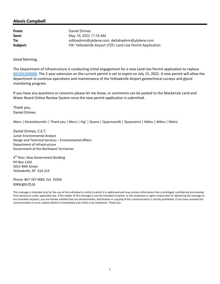**From:** Daniel Drimes **Sent:** May 10, 2022 11:18 AM **To:** ndiloadmin@ykdene.com; dettahadmin@ykdene.com **Subject:** FW: Yellowknife Airport (YZF) Land Use Permit Application

Good Morning,

The Department of Infrastructure is conducting initial engagement for a new Land Use Permit application to replace MV2015X0008. The 2 year extension on the current permit is set to expire on July 15, 2022. A new permit will allow the department to continue operations and maintenance of the Yellowknife Airport geotechnical surveys and glycol monitoring program.

If you have any questions or concerns please let me know, or comments can be posted to the Mackenzie Land and Water Board Online Review System once the new permit application is submitted.

Thank you, Daniel Drimes

Mársı | Kinanāskomitin | Thank you | Merci | Hąį' | Quana | Qujannamiik | Quyanainni | Máhsı | Máhsı | Mahsı̀

Daniel Drimes, C.E.T. Junior Environmental Analyst Design and Technical Services – Environmental Affairs Department of Infrastructure Government of the Northwest Territories

4<sup>th</sup> floor, New Government Building PO Box 1320 5015 49th Street Yellowknife, NT X1A 2L9

Phone: 867‐767‐9083 Ext. 31056 www.gov.nt.ca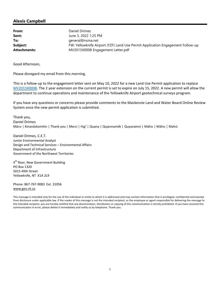**From:** Daniel Drimes **Sent:** June 3, 2022 1:25 PM **To:** general@nsma.net **Subject:** FW: Yellowknife Airport (YZF) Land Use Permit Application Engagement Follow-up **Attachments:** MV2015X0008 Engagement Letter.pdf

Good Afternoon,

Please disregard my email from this morning.

This is a follow‐up to the engagement letter sent on May 10, 2022 for a new Land Use Permit application to replace MV2015X0008. The 2 year extension on the current permit is set to expire on July 15, 2022. A new permit will allow the department to continue operations and maintenance of the Yellowknife Airport geotechnical surveys program.

If you have any questions or concerns please provide comments to the Mackenzie Land and Water Board Online Review System once the new permit application is submitted.

Thank you, Daniel Drimes Mársı | Kinanāskomitin | Thank you | Merci | Hąį' | Quana | Qujannamiik | Quyanainni | Máhsı | Máhsı | Mahsı̀

Daniel Drimes, C.E.T. Junior Environmental Analyst Design and Technical Services – Environmental Affairs Department of Infrastructure Government of the Northwest Territories

4<sup>th</sup> floor, New Government Building PO Box 1320 5015 49th Street Yellowknife, NT X1A 2L9

Phone: 867‐767‐9083 Ext. 31056 www.gov.nt.ca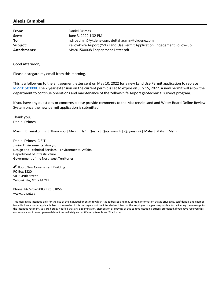**From:** Daniel Drimes **Sent:** June 3, 2022 1:32 PM **To:** ndiloadmin@ykdene.com; dettahadmin@ykdene.com **Subject:** Yellowknife Airport (YZF) Land Use Permit Application Engagement Follow-up **Attachments:** MV2015X0008 Engagement Letter.pdf

Good Afternoon,

Please disregard my email from this morning.

This is a follow‐up to the engagement letter sent on May 10, 2022 for a new Land Use Permit application to replace MV2015X0008. The 2 year extension on the current permit is set to expire on July 15, 2022. A new permit will allow the department to continue operations and maintenance of the Yellowknife Airport geotechnical surveys program.

If you have any questions or concerns please provide comments to the Mackenzie Land and Water Board Online Review System once the new permit application is submitted.

Thank you, Daniel Drimes

Mársı | Kinanāskomitin | Thank you | Merci | Hąį' | Quana | Qujannamiik | Quyanainni | Máhsı | Máhsı | Mahsı̀

Daniel Drimes, C.E.T. Junior Environmental Analyst Design and Technical Services – Environmental Affairs Department of Infrastructure Government of the Northwest Territories

4<sup>th</sup> floor, New Government Building PO Box 1320 5015 49th Street Yellowknife, NT X1A 2L9

Phone: 867‐767‐9083 Ext. 31056 www.gov.nt.ca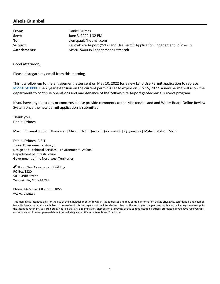**From:** Daniel Drimes **Sent:** June 3, 2022 1:32 PM **To:** clem.paul@hotmail.com **Subject:** Yellowknife Airport (YZF) Land Use Permit Application Engagement Follow-up **Attachments:** MV2015X0008 Engagement Letter.pdf

Good Afternoon,

Please disregard my email from this morning.

This is a follow‐up to the engagement letter sent on May 10, 2022 for a new Land Use Permit application to replace MV2015X0008. The 2 year extension on the current permit is set to expire on July 15, 2022. A new permit will allow the department to continue operations and maintenance of the Yellowknife Airport geotechnical surveys program.

If you have any questions or concerns please provide comments to the Mackenzie Land and Water Board Online Review System once the new permit application is submitted.

Thank you, Daniel Drimes

Mársı | Kinanāskomitin | Thank you | Merci | Hąį' | Quana | Qujannamiik | Quyanainni | Máhsı | Máhsı | Mahsı̀

Daniel Drimes, C.E.T. Junior Environmental Analyst Design and Technical Services – Environmental Affairs Department of Infrastructure Government of the Northwest Territories

4<sup>th</sup> floor, New Government Building PO Box 1320 5015 49th Street Yellowknife, NT X1A 2L9

Phone: 867‐767‐9083 Ext. 31056 www.gov.nt.ca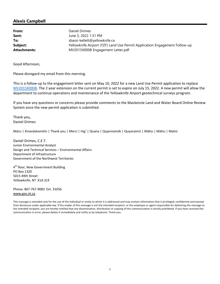**From:** Daniel Drimes **Sent:** June 3, 2022 1:31 PM **To:** sbassi-kellett@yellowknife.ca **Subject:** Yellowknife Airport (YZF) Land Use Permit Application Engagement Follow-up **Attachments:** MV2015X0008 Engagement Letter.pdf

Good Afternoon,

Please disregard my email from this morning.

This is a follow‐up to the engagement letter sent on May 10, 2022 for a new Land Use Permit application to replace MV2015X0008. The 2 year extension on the current permit is set to expire on July 15, 2022. A new permit will allow the department to continue operations and maintenance of the Yellowknife Airport geotechnical surveys program.

If you have any questions or concerns please provide comments to the Mackenzie Land and Water Board Online Review System once the new permit application is submitted.

Thank you, Daniel Drimes

Mársı | Kinanāskomitin | Thank you | Merci | Hąį' | Quana | Qujannamiik | Quyanainni | Máhsı | Máhsı | Mahsı̀

Daniel Drimes, C.E.T. Junior Environmental Analyst Design and Technical Services – Environmental Affairs Department of Infrastructure Government of the Northwest Territories

4<sup>th</sup> floor, New Government Building PO Box 1320 5015 49th Street Yellowknife, NT X1A 2L9

Phone: 867‐767‐9083 Ext. 31056 www.gov.nt.ca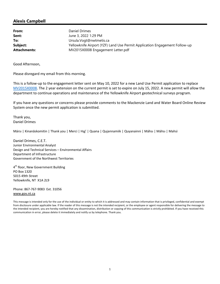**From:** Daniel Drimes **Sent:** June 3, 2022 1:29 PM **To:** Ursula.Vogt@nwtmetis.ca **Subject:** Yellowknife Airport (YZF) Land Use Permit Application Engagement Follow-up **Attachments:** MV2015X0008 Engagement Letter.pdf

Good Afternoon,

Please disregard my email from this morning.

This is a follow‐up to the engagement letter sent on May 10, 2022 for a new Land Use Permit application to replace MV2015X0008. The 2 year extension on the current permit is set to expire on July 15, 2022. A new permit will allow the department to continue operations and maintenance of the Yellowknife Airport geotechnical surveys program.

If you have any questions or concerns please provide comments to the Mackenzie Land and Water Board Online Review System once the new permit application is submitted.

Thank you, Daniel Drimes

Mársı | Kinanāskomitin | Thank you | Merci | Hąį' | Quana | Qujannamiik | Quyanainni | Máhsı | Máhsı | Mahsı̀

Daniel Drimes, C.E.T. Junior Environmental Analyst Design and Technical Services – Environmental Affairs Department of Infrastructure Government of the Northwest Territories

4<sup>th</sup> floor, New Government Building PO Box 1320 5015 49th Street Yellowknife, NT X1A 2L9

Phone: 867‐767‐9083 Ext. 31056 www.gov.nt.ca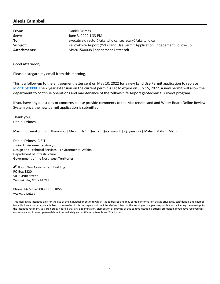**From:** Daniel Drimes **Sent:** June 3, 2022 1:33 PM **To:** executive.director@akaitcho.ca; secretary@akaitcho.ca **Subject:** Yellowknife Airport (YZF) Land Use Permit Application Engagement Follow-up **Attachments:** MV2015X0008 Engagement Letter.pdf

Good Afternoon,

Please disregard my email from this morning.

This is a follow‐up to the engagement letter sent on May 10, 2022 for a new Land Use Permit application to replace MV2015X0008. The 2 year extension on the current permit is set to expire on July 15, 2022. A new permit will allow the department to continue operations and maintenance of the Yellowknife Airport geotechnical surveys program.

If you have any questions or concerns please provide comments to the Mackenzie Land and Water Board Online Review System once the new permit application is submitted.

Thank you, Daniel Drimes

Mársı | Kinanāskomitin | Thank you | Merci | Hąį' | Quana | Qujannamiik | Quyanainni | Máhsı | Máhsı | Mahsı̀

Daniel Drimes, C.E.T. Junior Environmental Analyst Design and Technical Services – Environmental Affairs Department of Infrastructure Government of the Northwest Territories

4<sup>th</sup> floor, New Government Building PO Box 1320 5015 49th Street Yellowknife, NT X1A 2L9

Phone: 867‐767‐9083 Ext. 31056 www.gov.nt.ca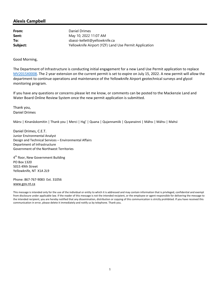**From:** Daniel Drimes **Sent:** May 10, 2022 11:07 AM **To:** sbassi-kellett@yellowknife.ca **Subject:** Yellowknife Airport (YZF) Land Use Permit Application

Good Morning,

The Department of Infrastructure is conducting initial engagement for a new Land Use Permit application to replace MV2015X0008. The 2 year extension on the current permit is set to expire on July 15, 2022. A new permit will allow the department to continue operations and maintenance of the Yellowknife Airport geotechnical surveys and glycol monitoring program.

If you have any questions or concerns please let me know, or comments can be posted to the Mackenzie Land and Water Board Online Review System once the new permit application is submitted.

Thank you, Daniel Drimes

Mársı | Kinanāskomitin | Thank you | Merci | Hąį' | Quana | Qujannamiik | Quyanainni | Máhsı | Máhsı | Mahsı̀

Daniel Drimes, C.E.T. Junior Environmental Analyst Design and Technical Services – Environmental Affairs Department of Infrastructure Government of the Northwest Territories

4<sup>th</sup> floor, New Government Building PO Box 1320 5015 49th Street Yellowknife, NT X1A 2L9

Phone: 867‐767‐9083 Ext. 31056 www.gov.nt.ca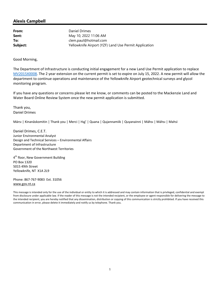**From:** Daniel Drimes **Sent:** May 10, 2022 11:06 AM **To:** clem.paul@hotmail.com **Subject:** Yellowknife Airport (YZF) Land Use Permit Application

Good Morning,

The Department of Infrastructure is conducting initial engagement for a new Land Use Permit application to replace MV2015X0008. The 2 year extension on the current permit is set to expire on July 15, 2022. A new permit will allow the department to continue operations and maintenance of the Yellowknife Airport geotechnical surveys and glycol monitoring program.

If you have any questions or concerns please let me know, or comments can be posted to the Mackenzie Land and Water Board Online Review System once the new permit application is submitted.

Thank you, Daniel Drimes

Mársı | Kinanāskomitin | Thank you | Merci | Hąį' | Quana | Qujannamiik | Quyanainni | Máhsı | Máhsı | Mahsı̀

Daniel Drimes, C.E.T. Junior Environmental Analyst Design and Technical Services – Environmental Affairs Department of Infrastructure Government of the Northwest Territories

4<sup>th</sup> floor, New Government Building PO Box 1320 5015 49th Street Yellowknife, NT X1A 2L9

Phone: 867‐767‐9083 Ext. 31056 www.gov.nt.ca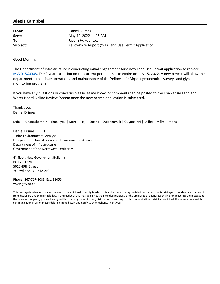**From:** Daniel Drimes **Sent:** May 10, 2022 11:05 AM **To:** JasonS@ykdene.ca **Subject:** Yellowknife Airport (YZF) Land Use Permit Application

Good Morning,

The Department of Infrastructure is conducting initial engagement for a new Land Use Permit application to replace MV2015X0008. The 2 year extension on the current permit is set to expire on July 15, 2022. A new permit will allow the department to continue operations and maintenance of the Yellowknife Airport geotechnical surveys and glycol monitoring program.

If you have any questions or concerns please let me know, or comments can be posted to the Mackenzie Land and Water Board Online Review System once the new permit application is submitted.

Thank you, Daniel Drimes

Mársı | Kinanāskomitin | Thank you | Merci | Hąį' | Quana | Qujannamiik | Quyanainni | Máhsı | Máhsı | Mahsı̀

Daniel Drimes, C.E.T. Junior Environmental Analyst Design and Technical Services – Environmental Affairs Department of Infrastructure Government of the Northwest Territories

4<sup>th</sup> floor, New Government Building PO Box 1320 5015 49th Street Yellowknife, NT X1A 2L9

Phone: 867‐767‐9083 Ext. 31056 www.gov.nt.ca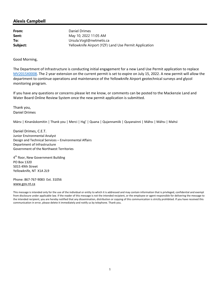**From:** Daniel Drimes **Sent:** May 10, 2022 11:05 AM **To:** Ursula.Vogt@nwtmetis.ca **Subject:** Yellowknife Airport (YZF) Land Use Permit Application

Good Morning,

The Department of Infrastructure is conducting initial engagement for a new Land Use Permit application to replace MV2015X0008. The 2 year extension on the current permit is set to expire on July 15, 2022. A new permit will allow the department to continue operations and maintenance of the Yellowknife Airport geotechnical surveys and glycol monitoring program.

If you have any questions or concerns please let me know, or comments can be posted to the Mackenzie Land and Water Board Online Review System once the new permit application is submitted.

Thank you, Daniel Drimes

Mársı | Kinanāskomitin | Thank you | Merci | Hąį' | Quana | Qujannamiik | Quyanainni | Máhsı | Máhsı | Mahsı̀

Daniel Drimes, C.E.T. Junior Environmental Analyst Design and Technical Services – Environmental Affairs Department of Infrastructure Government of the Northwest Territories

4<sup>th</sup> floor, New Government Building PO Box 1320 5015 49th Street Yellowknife, NT X1A 2L9

Phone: 867‐767‐9083 Ext. 31056 www.gov.nt.ca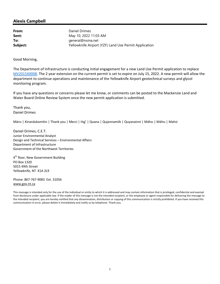**From:** Daniel Drimes **Sent:** May 10, 2022 11:03 AM **To:** general@nsma.net **Subject:** Yellowknife Airport (YZF) Land Use Permit Application

Good Morning,

The Department of Infrastructure is conducting initial engagement for a new Land Use Permit application to replace MV2015X0008. The 2 year extension on the current permit is set to expire on July 15, 2022. A new permit will allow the department to continue operations and maintenance of the Yellowknife Airport geotechnical surveys and glycol monitoring program.

If you have any questions or concerns please let me know, or comments can be posted to the Mackenzie Land and Water Board Online Review System once the new permit application is submitted.

Thank you, Daniel Drimes

Mársı | Kinanāskomitin | Thank you | Merci | Hąį' | Quana | Qujannamiik | Quyanainni | Máhsı | Máhsı | Mahsı̀

Daniel Drimes, C.E.T. Junior Environmental Analyst Design and Technical Services – Environmental Affairs Department of Infrastructure Government of the Northwest Territories

4<sup>th</sup> floor, New Government Building PO Box 1320 5015 49th Street Yellowknife, NT X1A 2L9

Phone: 867‐767‐9083 Ext. 31056 www.gov.nt.ca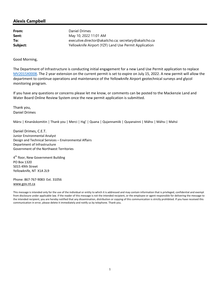**From:** Daniel Drimes **Sent:** May 10, 2022 11:01 AM **To:** executive.director@akaitcho.ca; secretary@akaitcho.ca **Subject:** Yellowknife Airport (YZF) Land Use Permit Application

Good Morning,

The Department of Infrastructure is conducting initial engagement for a new Land Use Permit application to replace MV2015X0008. The 2 year extension on the current permit is set to expire on July 15, 2022. A new permit will allow the department to continue operations and maintenance of the Yellowknife Airport geotechnical surveys and glycol monitoring program.

If you have any questions or concerns please let me know, or comments can be posted to the Mackenzie Land and Water Board Online Review System once the new permit application is submitted.

Thank you, Daniel Drimes

Mársı | Kinanāskomitin | Thank you | Merci | Hąį' | Quana | Qujannamiik | Quyanainni | Máhsı | Máhsı | Mahsı̀

Daniel Drimes, C.E.T. Junior Environmental Analyst Design and Technical Services – Environmental Affairs Department of Infrastructure Government of the Northwest Territories

4<sup>th</sup> floor, New Government Building PO Box 1320 5015 49th Street Yellowknife, NT X1A 2L9

Phone: 867‐767‐9083 Ext. 31056 www.gov.nt.ca